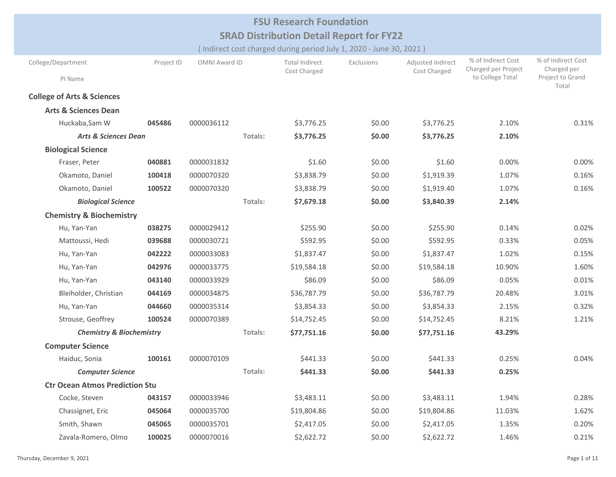## **SRAD Distribution Detail Report for FY22 FSU Research Foundation**

( Indirect cost charged during period July 1, 2020 ‐ June 30, 2021 )

| College/Department                    | Project ID | OMNI Award ID |         | <b>Total Indirect</b><br>Cost Charged | Exclusions | Adjusted Indirect<br>Cost Charged | % of Indirect Cost<br>Charged per Project | % of Indirect Cost<br>Charged per |
|---------------------------------------|------------|---------------|---------|---------------------------------------|------------|-----------------------------------|-------------------------------------------|-----------------------------------|
| PI Name                               |            |               |         |                                       |            |                                   | to College Total                          | Project to Grand<br>Total         |
| <b>College of Arts &amp; Sciences</b> |            |               |         |                                       |            |                                   |                                           |                                   |
| <b>Arts &amp; Sciences Dean</b>       |            |               |         |                                       |            |                                   |                                           |                                   |
| Huckaba, Sam W                        | 045486     | 0000036112    |         | \$3,776.25                            | \$0.00     | \$3,776.25                        | 2.10%                                     | 0.31%                             |
| <b>Arts &amp; Sciences Dean</b>       |            |               | Totals: | \$3,776.25                            | \$0.00     | \$3,776.25                        | 2.10%                                     |                                   |
| <b>Biological Science</b>             |            |               |         |                                       |            |                                   |                                           |                                   |
| Fraser, Peter                         | 040881     | 0000031832    |         | \$1.60                                | \$0.00     | \$1.60                            | 0.00%                                     | 0.00%                             |
| Okamoto, Daniel                       | 100418     | 0000070320    |         | \$3,838.79                            | \$0.00     | \$1,919.39                        | 1.07%                                     | 0.16%                             |
| Okamoto, Daniel                       | 100522     | 0000070320    |         | \$3,838.79                            | \$0.00     | \$1,919.40                        | 1.07%                                     | 0.16%                             |
| <b>Biological Science</b>             |            |               | Totals: | \$7,679.18                            | \$0.00     | \$3,840.39                        | 2.14%                                     |                                   |
| <b>Chemistry &amp; Biochemistry</b>   |            |               |         |                                       |            |                                   |                                           |                                   |
| Hu, Yan-Yan                           | 038275     | 0000029412    |         | \$255.90                              | \$0.00     | \$255.90                          | 0.14%                                     | 0.02%                             |
| Mattoussi, Hedi                       | 039688     | 0000030721    |         | \$592.95                              | \$0.00     | \$592.95                          | 0.33%                                     | 0.05%                             |
| Hu, Yan-Yan                           | 042222     | 0000033083    |         | \$1,837.47                            | \$0.00     | \$1,837.47                        | 1.02%                                     | 0.15%                             |
| Hu, Yan-Yan                           | 042976     | 0000033775    |         | \$19,584.18                           | \$0.00     | \$19,584.18                       | 10.90%                                    | 1.60%                             |
| Hu, Yan-Yan                           | 043140     | 0000033929    |         | \$86.09                               | \$0.00     | \$86.09                           | 0.05%                                     | 0.01%                             |
| Bleiholder, Christian                 | 044169     | 0000034875    |         | \$36,787.79                           | \$0.00     | \$36,787.79                       | 20.48%                                    | 3.01%                             |
| Hu, Yan-Yan                           | 044660     | 0000035314    |         | \$3,854.33                            | \$0.00     | \$3,854.33                        | 2.15%                                     | 0.32%                             |
| Strouse, Geoffrey                     | 100524     | 0000070389    |         | \$14,752.45                           | \$0.00     | \$14,752.45                       | 8.21%                                     | 1.21%                             |
| <b>Chemistry &amp; Biochemistry</b>   |            |               | Totals: | \$77,751.16                           | \$0.00     | \$77,751.16                       | 43.29%                                    |                                   |
| <b>Computer Science</b>               |            |               |         |                                       |            |                                   |                                           |                                   |
| Haiduc, Sonia                         | 100161     | 0000070109    |         | \$441.33                              | \$0.00     | \$441.33                          | 0.25%                                     | 0.04%                             |
| <b>Computer Science</b>               |            |               | Totals: | \$441.33                              | \$0.00     | \$441.33                          | 0.25%                                     |                                   |
| <b>Ctr Ocean Atmos Prediction Stu</b> |            |               |         |                                       |            |                                   |                                           |                                   |
| Cocke, Steven                         | 043157     | 0000033946    |         | \$3,483.11                            | \$0.00     | \$3,483.11                        | 1.94%                                     | 0.28%                             |
| Chassignet, Eric                      | 045064     | 0000035700    |         | \$19,804.86                           | \$0.00     | \$19,804.86                       | 11.03%                                    | 1.62%                             |
| Smith, Shawn                          | 045065     | 0000035701    |         | \$2,417.05                            | \$0.00     | \$2,417.05                        | 1.35%                                     | 0.20%                             |
| Zavala-Romero, Olmo                   | 100025     | 0000070016    |         | \$2,622.72                            | \$0.00     | \$2,622.72                        | 1.46%                                     | 0.21%                             |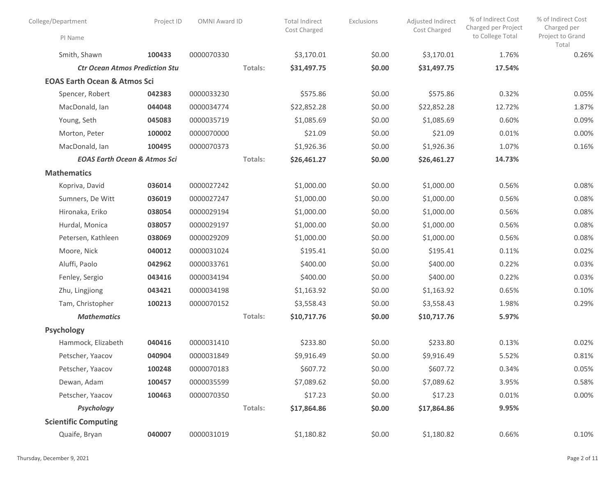| College/Department                      | Project ID | OMNI Award ID |         | <b>Total Indirect</b><br>Cost Charged | Exclusions | Adjusted Indirect<br>Cost Charged | % of Indirect Cost<br>Charged per Project<br>to College Total | % of Indirect Cost<br>Charged per<br>Project to Grand |
|-----------------------------------------|------------|---------------|---------|---------------------------------------|------------|-----------------------------------|---------------------------------------------------------------|-------------------------------------------------------|
| PI Name                                 |            |               |         |                                       |            |                                   |                                                               | Total                                                 |
| Smith, Shawn                            | 100433     | 0000070330    |         | \$3,170.01                            | \$0.00     | \$3,170.01                        | 1.76%                                                         | 0.26%                                                 |
| <b>Ctr Ocean Atmos Prediction Stu</b>   |            |               | Totals: | \$31,497.75                           | \$0.00     | \$31,497.75                       | 17.54%                                                        |                                                       |
| <b>EOAS Earth Ocean &amp; Atmos Sci</b> |            |               |         |                                       |            |                                   |                                                               |                                                       |
| Spencer, Robert                         | 042383     | 0000033230    |         | \$575.86                              | \$0.00     | \$575.86                          | 0.32%                                                         | 0.05%                                                 |
| MacDonald, Ian                          | 044048     | 0000034774    |         | \$22,852.28                           | \$0.00     | \$22,852.28                       | 12.72%                                                        | 1.87%                                                 |
| Young, Seth                             | 045083     | 0000035719    |         | \$1,085.69                            | \$0.00     | \$1,085.69                        | 0.60%                                                         | 0.09%                                                 |
| Morton, Peter                           | 100002     | 0000070000    |         | \$21.09                               | \$0.00     | \$21.09                           | 0.01%                                                         | 0.00%                                                 |
| MacDonald, Ian                          | 100495     | 0000070373    |         | \$1,926.36                            | \$0.00     | \$1,926.36                        | 1.07%                                                         | 0.16%                                                 |
| <b>EOAS Earth Ocean &amp; Atmos Sci</b> |            |               | Totals: | \$26,461.27                           | \$0.00     | \$26,461.27                       | 14.73%                                                        |                                                       |
| <b>Mathematics</b>                      |            |               |         |                                       |            |                                   |                                                               |                                                       |
| Kopriva, David                          | 036014     | 0000027242    |         | \$1,000.00                            | \$0.00     | \$1,000.00                        | 0.56%                                                         | 0.08%                                                 |
| Sumners, De Witt                        | 036019     | 0000027247    |         | \$1,000.00                            | \$0.00     | \$1,000.00                        | 0.56%                                                         | 0.08%                                                 |
| Hironaka, Eriko                         | 038054     | 0000029194    |         | \$1,000.00                            | \$0.00     | \$1,000.00                        | 0.56%                                                         | 0.08%                                                 |
| Hurdal, Monica                          | 038057     | 0000029197    |         | \$1,000.00                            | \$0.00     | \$1,000.00                        | 0.56%                                                         | 0.08%                                                 |
| Petersen, Kathleen                      | 038069     | 0000029209    |         | \$1,000.00                            | \$0.00     | \$1,000.00                        | 0.56%                                                         | 0.08%                                                 |
| Moore, Nick                             | 040012     | 0000031024    |         | \$195.41                              | \$0.00     | \$195.41                          | 0.11%                                                         | 0.02%                                                 |
| Aluffi, Paolo                           | 042962     | 0000033761    |         | \$400.00                              | \$0.00     | \$400.00                          | 0.22%                                                         | 0.03%                                                 |
| Fenley, Sergio                          | 043416     | 0000034194    |         | \$400.00                              | \$0.00     | \$400.00                          | 0.22%                                                         | 0.03%                                                 |
| Zhu, Lingjiong                          | 043421     | 0000034198    |         | \$1,163.92                            | \$0.00     | \$1,163.92                        | 0.65%                                                         | 0.10%                                                 |
| Tam, Christopher                        | 100213     | 0000070152    |         | \$3,558.43                            | \$0.00     | \$3,558.43                        | 1.98%                                                         | 0.29%                                                 |
| <b>Mathematics</b>                      |            |               | Totals: | \$10,717.76                           | \$0.00     | \$10,717.76                       | 5.97%                                                         |                                                       |
| <b>Psychology</b>                       |            |               |         |                                       |            |                                   |                                                               |                                                       |
| Hammock, Elizabeth                      | 040416     | 0000031410    |         | \$233.80                              | \$0.00     | \$233.80                          | 0.13%                                                         | 0.02%                                                 |
| Petscher, Yaacov                        | 040904     | 0000031849    |         | \$9,916.49                            | \$0.00     | \$9,916.49                        | 5.52%                                                         | 0.81%                                                 |
| Petscher, Yaacov                        | 100248     | 0000070183    |         | \$607.72                              | \$0.00     | \$607.72                          | 0.34%                                                         | 0.05%                                                 |
| Dewan, Adam                             | 100457     | 0000035599    |         | \$7,089.62                            | \$0.00     | \$7,089.62                        | 3.95%                                                         | 0.58%                                                 |
| Petscher, Yaacov                        | 100463     | 0000070350    |         | \$17.23                               | \$0.00     | \$17.23                           | 0.01%                                                         | 0.00%                                                 |
| Psychology                              |            |               | Totals: | \$17,864.86                           | \$0.00     | \$17,864.86                       | 9.95%                                                         |                                                       |
| <b>Scientific Computing</b>             |            |               |         |                                       |            |                                   |                                                               |                                                       |
| Quaife, Bryan                           | 040007     | 0000031019    |         | \$1,180.82                            | \$0.00     | \$1,180.82                        | 0.66%                                                         | 0.10%                                                 |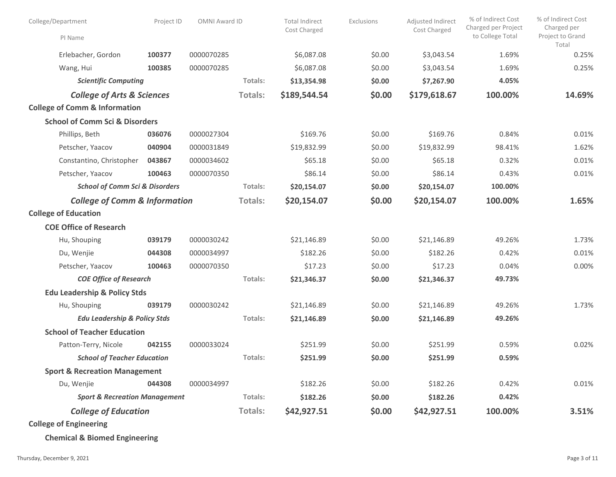| College/Department                        | Project ID | OMNI Award ID |                | <b>Total Indirect</b><br>Cost Charged | Exclusions | Adjusted Indirect<br>Cost Charged | % of Indirect Cost<br>Charged per Project<br>to College Total | % of Indirect Cost<br>Charged per<br>Project to Grand |
|-------------------------------------------|------------|---------------|----------------|---------------------------------------|------------|-----------------------------------|---------------------------------------------------------------|-------------------------------------------------------|
| PI Name                                   |            |               |                |                                       |            |                                   |                                                               | Total                                                 |
| Erlebacher, Gordon                        | 100377     | 0000070285    |                | \$6,087.08                            | \$0.00     | \$3,043.54                        | 1.69%                                                         | 0.25%                                                 |
| Wang, Hui                                 | 100385     | 0000070285    |                | \$6,087.08                            | \$0.00     | \$3,043.54                        | 1.69%                                                         | 0.25%                                                 |
| <b>Scientific Computing</b>               |            |               | Totals:        | \$13,354.98                           | \$0.00     | \$7,267.90                        | 4.05%                                                         |                                                       |
| <b>College of Arts &amp; Sciences</b>     |            |               | <b>Totals:</b> | \$189,544.54                          | \$0.00     | \$179,618.67                      | 100.00%                                                       | 14.69%                                                |
| <b>College of Comm &amp; Information</b>  |            |               |                |                                       |            |                                   |                                                               |                                                       |
| <b>School of Comm Sci &amp; Disorders</b> |            |               |                |                                       |            |                                   |                                                               |                                                       |
| Phillips, Beth                            | 036076     | 0000027304    |                | \$169.76                              | \$0.00     | \$169.76                          | 0.84%                                                         | 0.01%                                                 |
| Petscher, Yaacov                          | 040904     | 0000031849    |                | \$19,832.99                           | \$0.00     | \$19,832.99                       | 98.41%                                                        | 1.62%                                                 |
| Constantino, Christopher                  | 043867     | 0000034602    |                | \$65.18                               | \$0.00     | \$65.18                           | 0.32%                                                         | 0.01%                                                 |
| Petscher, Yaacov                          | 100463     | 0000070350    |                | \$86.14                               | \$0.00     | \$86.14                           | 0.43%                                                         | 0.01%                                                 |
| <b>School of Comm Sci &amp; Disorders</b> |            |               | Totals:        | \$20,154.07                           | \$0.00     | \$20,154.07                       | 100.00%                                                       |                                                       |
| <b>College of Comm &amp; Information</b>  |            |               | Totals:        | \$20,154.07                           | \$0.00     | \$20,154.07                       | 100.00%                                                       | 1.65%                                                 |
| <b>College of Education</b>               |            |               |                |                                       |            |                                   |                                                               |                                                       |
| <b>COE Office of Research</b>             |            |               |                |                                       |            |                                   |                                                               |                                                       |
| Hu, Shouping                              | 039179     | 0000030242    |                | \$21,146.89                           | \$0.00     | \$21,146.89                       | 49.26%                                                        | 1.73%                                                 |
| Du, Wenjie                                | 044308     | 0000034997    |                | \$182.26                              | \$0.00     | \$182.26                          | 0.42%                                                         | 0.01%                                                 |
| Petscher, Yaacov                          | 100463     | 0000070350    |                | \$17.23                               | \$0.00     | \$17.23                           | 0.04%                                                         | 0.00%                                                 |
| <b>COE Office of Research</b>             |            |               | <b>Totals:</b> | \$21,346.37                           | \$0.00     | \$21,346.37                       | 49.73%                                                        |                                                       |
| <b>Edu Leadership &amp; Policy Stds</b>   |            |               |                |                                       |            |                                   |                                                               |                                                       |
| Hu, Shouping                              | 039179     | 0000030242    |                | \$21,146.89                           | \$0.00     | \$21,146.89                       | 49.26%                                                        | 1.73%                                                 |
| <b>Edu Leadership &amp; Policy Stds</b>   |            |               | Totals:        | \$21,146.89                           | \$0.00     | \$21,146.89                       | 49.26%                                                        |                                                       |
| <b>School of Teacher Education</b>        |            |               |                |                                       |            |                                   |                                                               |                                                       |
| Patton-Terry, Nicole                      | 042155     | 0000033024    |                | \$251.99                              | \$0.00     | \$251.99                          | 0.59%                                                         | 0.02%                                                 |
| <b>School of Teacher Education</b>        |            |               | <b>Totals:</b> | \$251.99                              | \$0.00     | \$251.99                          | 0.59%                                                         |                                                       |
| <b>Sport &amp; Recreation Management</b>  |            |               |                |                                       |            |                                   |                                                               |                                                       |
| Du, Wenjie                                | 044308     | 0000034997    |                | \$182.26                              | \$0.00     | \$182.26                          | 0.42%                                                         | 0.01%                                                 |
| <b>Sport &amp; Recreation Management</b>  |            |               | Totals:        | \$182.26                              | \$0.00     | \$182.26                          | 0.42%                                                         |                                                       |
| <b>College of Education</b>               |            |               | Totals:        | \$42,927.51                           | \$0.00     | \$42,927.51                       | 100.00%                                                       | 3.51%                                                 |
| <b>College of Engineering</b>             |            |               |                |                                       |            |                                   |                                                               |                                                       |

**Chemical & Biomed Engineering**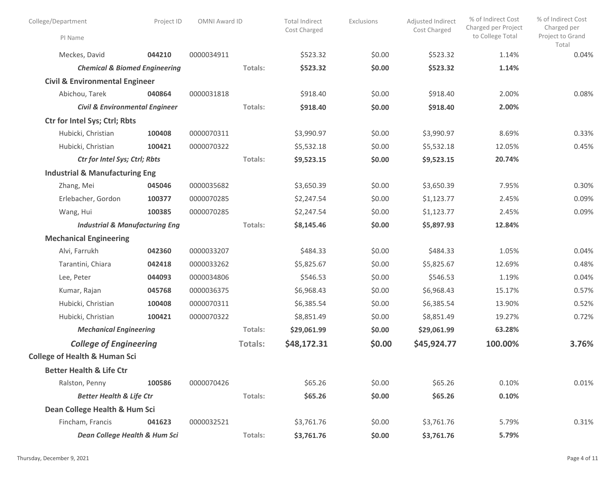| College/Department                        | Project ID | <b>OMNI Award ID</b> |         | <b>Total Indirect</b><br>Cost Charged | Exclusions | Adjusted Indirect<br>Cost Charged | % of Indirect Cost<br>Charged per Project | % of Indirect Cost<br>Charged per |
|-------------------------------------------|------------|----------------------|---------|---------------------------------------|------------|-----------------------------------|-------------------------------------------|-----------------------------------|
| PI Name                                   |            |                      |         |                                       |            |                                   | to College Total                          | Project to Grand<br>Total         |
| Meckes, David                             | 044210     | 0000034911           |         | \$523.32                              | \$0.00     | \$523.32                          | 1.14%                                     | 0.04%                             |
| <b>Chemical &amp; Biomed Engineering</b>  |            |                      | Totals: | \$523.32                              | \$0.00     | \$523.32                          | 1.14%                                     |                                   |
| <b>Civil &amp; Environmental Engineer</b> |            |                      |         |                                       |            |                                   |                                           |                                   |
| Abichou, Tarek                            | 040864     | 0000031818           |         | \$918.40                              | \$0.00     | \$918.40                          | 2.00%                                     | 0.08%                             |
| <b>Civil &amp; Environmental Engineer</b> |            |                      | Totals: | \$918.40                              | \$0.00     | \$918.40                          | 2.00%                                     |                                   |
| <b>Ctr for Intel Sys; Ctrl; Rbts</b>      |            |                      |         |                                       |            |                                   |                                           |                                   |
| Hubicki, Christian                        | 100408     | 0000070311           |         | \$3,990.97                            | \$0.00     | \$3,990.97                        | 8.69%                                     | 0.33%                             |
| Hubicki, Christian                        | 100421     | 0000070322           |         | \$5,532.18                            | \$0.00     | \$5,532.18                        | 12.05%                                    | 0.45%                             |
| Ctr for Intel Sys; Ctrl; Rbts             |            |                      | Totals: | \$9,523.15                            | \$0.00     | \$9,523.15                        | 20.74%                                    |                                   |
| <b>Industrial &amp; Manufacturing Eng</b> |            |                      |         |                                       |            |                                   |                                           |                                   |
| Zhang, Mei                                | 045046     | 0000035682           |         | \$3,650.39                            | \$0.00     | \$3,650.39                        | 7.95%                                     | 0.30%                             |
| Erlebacher, Gordon                        | 100377     | 0000070285           |         | \$2,247.54                            | \$0.00     | \$1,123.77                        | 2.45%                                     | 0.09%                             |
| Wang, Hui                                 | 100385     | 0000070285           |         | \$2,247.54                            | \$0.00     | \$1,123.77                        | 2.45%                                     | 0.09%                             |
| <b>Industrial &amp; Manufacturing Eng</b> |            |                      | Totals: | \$8,145.46                            | \$0.00     | \$5,897.93                        | 12.84%                                    |                                   |
| <b>Mechanical Engineering</b>             |            |                      |         |                                       |            |                                   |                                           |                                   |
| Alvi, Farrukh                             | 042360     | 0000033207           |         | \$484.33                              | \$0.00     | \$484.33                          | 1.05%                                     | 0.04%                             |
| Tarantini, Chiara                         | 042418     | 0000033262           |         | \$5,825.67                            | \$0.00     | \$5,825.67                        | 12.69%                                    | 0.48%                             |
| Lee, Peter                                | 044093     | 0000034806           |         | \$546.53                              | \$0.00     | \$546.53                          | 1.19%                                     | 0.04%                             |
| Kumar, Rajan                              | 045768     | 0000036375           |         | \$6,968.43                            | \$0.00     | \$6,968.43                        | 15.17%                                    | 0.57%                             |
| Hubicki, Christian                        | 100408     | 0000070311           |         | \$6,385.54                            | \$0.00     | \$6,385.54                        | 13.90%                                    | 0.52%                             |
| Hubicki, Christian                        | 100421     | 0000070322           |         | \$8,851.49                            | \$0.00     | \$8,851.49                        | 19.27%                                    | 0.72%                             |
| <b>Mechanical Engineering</b>             |            |                      | Totals: | \$29,061.99                           | \$0.00     | \$29,061.99                       | 63.28%                                    |                                   |
| <b>College of Engineering</b>             |            |                      | Totals: | \$48,172.31                           | \$0.00     | \$45,924.77                       | 100.00%                                   | 3.76%                             |
| <b>College of Health &amp; Human Sci</b>  |            |                      |         |                                       |            |                                   |                                           |                                   |
| <b>Better Health &amp; Life Ctr</b>       |            |                      |         |                                       |            |                                   |                                           |                                   |
| Ralston, Penny                            | 100586     | 0000070426           |         | \$65.26                               | \$0.00     | \$65.26                           | 0.10%                                     | 0.01%                             |
| <b>Better Health &amp; Life Ctr</b>       |            |                      | Totals: | \$65.26                               | \$0.00     | \$65.26                           | 0.10%                                     |                                   |
| Dean College Health & Hum Sci             |            |                      |         |                                       |            |                                   |                                           |                                   |
| Fincham, Francis                          | 041623     | 0000032521           |         | \$3,761.76                            | \$0.00     | \$3,761.76                        | 5.79%                                     | 0.31%                             |
| Dean College Health & Hum Sci             |            |                      | Totals: | \$3,761.76                            | \$0.00     | \$3,761.76                        | 5.79%                                     |                                   |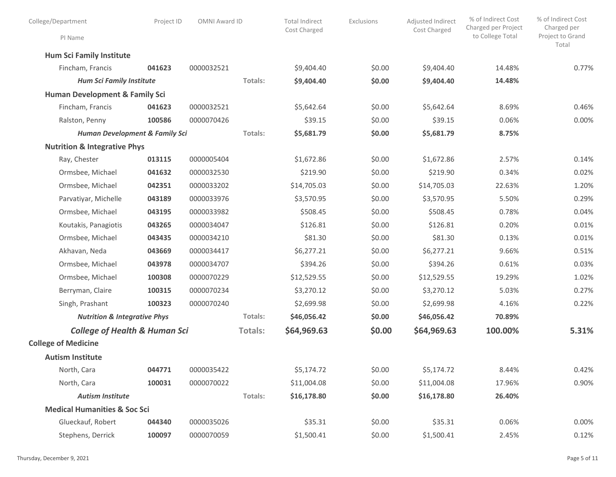| College/Department<br>PI Name             | Project ID | OMNI Award ID |         | <b>Total Indirect</b><br>Cost Charged | Exclusions | Adjusted Indirect<br>Cost Charged | % of Indirect Cost<br>Charged per Project<br>to College Total | % of Indirect Cost<br>Charged per<br>Project to Grand |
|-------------------------------------------|------------|---------------|---------|---------------------------------------|------------|-----------------------------------|---------------------------------------------------------------|-------------------------------------------------------|
| <b>Hum Sci Family Institute</b>           |            |               |         |                                       |            |                                   |                                                               | Total                                                 |
| Fincham, Francis                          | 041623     | 0000032521    |         | \$9,404.40                            | \$0.00     | \$9,404.40                        | 14.48%                                                        | 0.77%                                                 |
| <b>Hum Sci Family Institute</b>           |            |               | Totals: | \$9,404.40                            | \$0.00     | \$9,404.40                        | 14.48%                                                        |                                                       |
| <b>Human Development &amp; Family Sci</b> |            |               |         |                                       |            |                                   |                                                               |                                                       |
| Fincham, Francis                          | 041623     | 0000032521    |         | \$5,642.64                            | \$0.00     | \$5,642.64                        | 8.69%                                                         | 0.46%                                                 |
| Ralston, Penny                            | 100586     | 0000070426    |         | \$39.15                               | \$0.00     | \$39.15                           | 0.06%                                                         | 0.00%                                                 |
| <b>Human Development &amp; Family Sci</b> |            |               | Totals: | \$5,681.79                            | \$0.00     | \$5,681.79                        | 8.75%                                                         |                                                       |
| <b>Nutrition &amp; Integrative Phys</b>   |            |               |         |                                       |            |                                   |                                                               |                                                       |
| Ray, Chester                              | 013115     | 0000005404    |         | \$1,672.86                            | \$0.00     | \$1,672.86                        | 2.57%                                                         | 0.14%                                                 |
| Ormsbee, Michael                          | 041632     | 0000032530    |         | \$219.90                              | \$0.00     | \$219.90                          | 0.34%                                                         | 0.02%                                                 |
| Ormsbee, Michael                          | 042351     | 0000033202    |         | \$14,705.03                           | \$0.00     | \$14,705.03                       | 22.63%                                                        | 1.20%                                                 |
| Parvatiyar, Michelle                      | 043189     | 0000033976    |         | \$3,570.95                            | \$0.00     | \$3,570.95                        | 5.50%                                                         | 0.29%                                                 |
| Ormsbee, Michael                          | 043195     | 0000033982    |         | \$508.45                              | \$0.00     | \$508.45                          | 0.78%                                                         | 0.04%                                                 |
| Koutakis, Panagiotis                      | 043265     | 0000034047    |         | \$126.81                              | \$0.00     | \$126.81                          | 0.20%                                                         | 0.01%                                                 |
| Ormsbee, Michael                          | 043435     | 0000034210    |         | \$81.30                               | \$0.00     | \$81.30                           | 0.13%                                                         | 0.01%                                                 |
| Akhavan, Neda                             | 043669     | 0000034417    |         | \$6,277.21                            | \$0.00     | \$6,277.21                        | 9.66%                                                         | 0.51%                                                 |
| Ormsbee, Michael                          | 043978     | 0000034707    |         | \$394.26                              | \$0.00     | \$394.26                          | 0.61%                                                         | 0.03%                                                 |
| Ormsbee, Michael                          | 100308     | 0000070229    |         | \$12,529.55                           | \$0.00     | \$12,529.55                       | 19.29%                                                        | 1.02%                                                 |
| Berryman, Claire                          | 100315     | 0000070234    |         | \$3,270.12                            | \$0.00     | \$3,270.12                        | 5.03%                                                         | 0.27%                                                 |
| Singh, Prashant                           | 100323     | 0000070240    |         | \$2,699.98                            | \$0.00     | \$2,699.98                        | 4.16%                                                         | 0.22%                                                 |
| <b>Nutrition &amp; Integrative Phys</b>   |            |               | Totals: | \$46,056.42                           | \$0.00     | \$46,056.42                       | 70.89%                                                        |                                                       |
| <b>College of Health &amp; Human Sci</b>  |            |               | Totals: | \$64,969.63                           | \$0.00     | \$64,969.63                       | 100.00%                                                       | 5.31%                                                 |
| <b>College of Medicine</b>                |            |               |         |                                       |            |                                   |                                                               |                                                       |
| <b>Autism Institute</b>                   |            |               |         |                                       |            |                                   |                                                               |                                                       |
| North, Cara                               | 044771     | 0000035422    |         | \$5,174.72                            | \$0.00     | \$5,174.72                        | 8.44%                                                         | 0.42%                                                 |
| North, Cara                               | 100031     | 0000070022    |         | \$11,004.08                           | \$0.00     | \$11,004.08                       | 17.96%                                                        | 0.90%                                                 |
| <b>Autism Institute</b>                   |            |               | Totals: | \$16,178.80                           | \$0.00     | \$16,178.80                       | 26.40%                                                        |                                                       |
| <b>Medical Humanities &amp; Soc Sci</b>   |            |               |         |                                       |            |                                   |                                                               |                                                       |
| Glueckauf, Robert                         | 044340     | 0000035026    |         | \$35.31                               | \$0.00     | \$35.31                           | 0.06%                                                         | 0.00%                                                 |
| Stephens, Derrick                         | 100097     | 0000070059    |         | \$1,500.41                            | \$0.00     | \$1,500.41                        | 2.45%                                                         | 0.12%                                                 |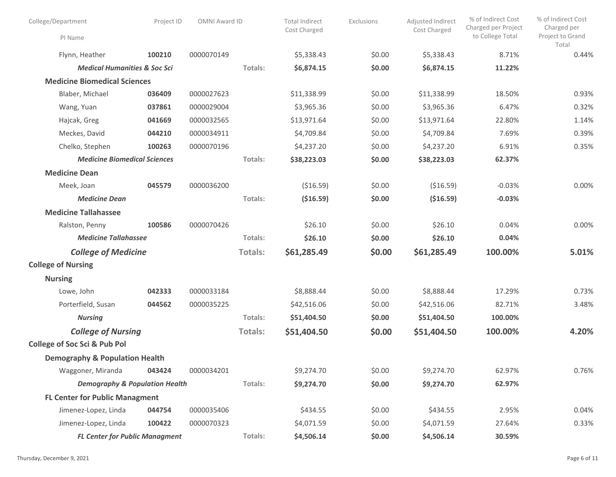| College/Department                        | Project ID | OMNI Award ID |                | <b>Total Indirect</b><br>Cost Charged | Exclusions | Adjusted Indirect<br>Cost Charged | % of Indirect Cost<br>Charged per Project<br>to College Total | % of Indirect Cost<br>Charged per<br>Project to Grand |
|-------------------------------------------|------------|---------------|----------------|---------------------------------------|------------|-----------------------------------|---------------------------------------------------------------|-------------------------------------------------------|
| PI Name                                   |            |               |                |                                       |            |                                   |                                                               | Total                                                 |
| Flynn, Heather                            | 100210     | 0000070149    |                | \$5,338.43                            | \$0.00     | \$5,338.43                        | 8.71%                                                         | 0.44%                                                 |
| <b>Medical Humanities &amp; Soc Sci</b>   |            |               | Totals:        | \$6,874.15                            | \$0.00     | \$6,874.15                        | 11.22%                                                        |                                                       |
| <b>Medicine Biomedical Sciences</b>       |            |               |                |                                       |            |                                   |                                                               |                                                       |
| Blaber, Michael                           | 036409     | 0000027623    |                | \$11,338.99                           | \$0.00     | \$11,338.99                       | 18.50%                                                        | 0.93%                                                 |
| Wang, Yuan                                | 037861     | 0000029004    |                | \$3,965.36                            | \$0.00     | \$3,965.36                        | 6.47%                                                         | 0.32%                                                 |
| Hajcak, Greg                              | 041669     | 0000032565    |                | \$13,971.64                           | \$0.00     | \$13,971.64                       | 22.80%                                                        | 1.14%                                                 |
| Meckes, David                             | 044210     | 0000034911    |                | \$4,709.84                            | \$0.00     | \$4,709.84                        | 7.69%                                                         | 0.39%                                                 |
| Chelko, Stephen                           | 100263     | 0000070196    |                | \$4,237.20                            | \$0.00     | \$4,237.20                        | 6.91%                                                         | 0.35%                                                 |
| <b>Medicine Biomedical Sciences</b>       |            |               | Totals:        | \$38,223.03                           | \$0.00     | \$38,223.03                       | 62.37%                                                        |                                                       |
| <b>Medicine Dean</b>                      |            |               |                |                                       |            |                                   |                                                               |                                                       |
| Meek, Joan                                | 045579     | 0000036200    |                | ( \$16.59)                            | \$0.00     | ( \$16.59)                        | $-0.03%$                                                      | 0.00%                                                 |
| <b>Medicine Dean</b>                      |            |               | Totals:        | ( \$16.59)                            | \$0.00     | ( \$16.59)                        | $-0.03%$                                                      |                                                       |
| <b>Medicine Tallahassee</b>               |            |               |                |                                       |            |                                   |                                                               |                                                       |
| Ralston, Penny                            | 100586     | 0000070426    |                | \$26.10                               | \$0.00     | \$26.10                           | 0.04%                                                         | 0.00%                                                 |
| <b>Medicine Tallahassee</b>               |            |               | Totals:        | \$26.10                               | \$0.00     | \$26.10                           | 0.04%                                                         |                                                       |
| <b>College of Medicine</b>                |            |               | <b>Totals:</b> | \$61,285.49                           | \$0.00     | \$61,285.49                       | 100.00%                                                       | 5.01%                                                 |
| <b>College of Nursing</b>                 |            |               |                |                                       |            |                                   |                                                               |                                                       |
| <b>Nursing</b>                            |            |               |                |                                       |            |                                   |                                                               |                                                       |
| Lowe, John                                | 042333     | 0000033184    |                | \$8,888.44                            | \$0.00     | \$8,888.44                        | 17.29%                                                        | 0.73%                                                 |
| Porterfield, Susan                        | 044562     | 0000035225    |                | \$42,516.06                           | \$0.00     | \$42,516.06                       | 82.71%                                                        | 3.48%                                                 |
| <b>Nursing</b>                            |            |               | Totals:        | \$51,404.50                           | \$0.00     | \$51,404.50                       | 100.00%                                                       |                                                       |
| <b>College of Nursing</b>                 |            |               | Totals:        | \$51,404.50                           | \$0.00     | \$51,404.50                       | 100.00%                                                       | 4.20%                                                 |
| <b>College of Soc Sci &amp; Pub Pol</b>   |            |               |                |                                       |            |                                   |                                                               |                                                       |
| <b>Demography &amp; Population Health</b> |            |               |                |                                       |            |                                   |                                                               |                                                       |
| Waggoner, Miranda                         | 043424     | 0000034201    |                | \$9,274.70                            | \$0.00     | \$9,274.70                        | 62.97%                                                        | 0.76%                                                 |
| <b>Demography &amp; Population Health</b> |            |               | Totals:        | \$9,274.70                            | \$0.00     | \$9,274.70                        | 62.97%                                                        |                                                       |
| <b>FL Center for Public Managment</b>     |            |               |                |                                       |            |                                   |                                                               |                                                       |
| Jimenez-Lopez, Linda                      | 044754     | 0000035406    |                | \$434.55                              | \$0.00     | \$434.55                          | 2.95%                                                         | 0.04%                                                 |
| Jimenez-Lopez, Linda                      | 100422     | 0000070323    |                | \$4,071.59                            | \$0.00     | \$4,071.59                        | 27.64%                                                        | 0.33%                                                 |
| <b>FL Center for Public Managment</b>     |            |               | Totals:        | \$4,506.14                            | \$0.00     | \$4,506.14                        | 30.59%                                                        |                                                       |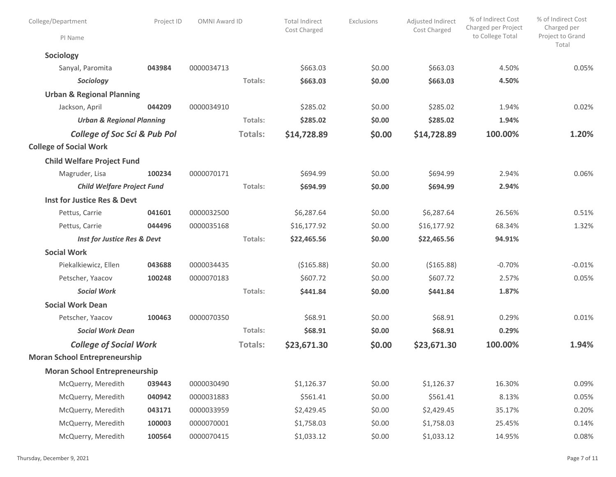| College/Department                      | Project ID | <b>OMNI Award ID</b> |         | <b>Total Indirect</b><br>Cost Charged | Exclusions | Adjusted Indirect<br>Cost Charged | % of Indirect Cost<br>Charged per Project | % of Indirect Cost<br>Charged per |
|-----------------------------------------|------------|----------------------|---------|---------------------------------------|------------|-----------------------------------|-------------------------------------------|-----------------------------------|
| PI Name                                 |            |                      |         |                                       |            |                                   | to College Total                          | Project to Grand<br>Total         |
| Sociology                               |            |                      |         |                                       |            |                                   |                                           |                                   |
| Sanyal, Paromita                        | 043984     | 0000034713           |         | \$663.03                              | \$0.00     | \$663.03                          | 4.50%                                     | 0.05%                             |
| Sociology                               |            |                      | Totals: | \$663.03                              | \$0.00     | \$663.03                          | 4.50%                                     |                                   |
| <b>Urban &amp; Regional Planning</b>    |            |                      |         |                                       |            |                                   |                                           |                                   |
| Jackson, April                          | 044209     | 0000034910           |         | \$285.02                              | \$0.00     | \$285.02                          | 1.94%                                     | 0.02%                             |
| <b>Urban &amp; Regional Planning</b>    |            |                      | Totals: | \$285.02                              | \$0.00     | \$285.02                          | 1.94%                                     |                                   |
| <b>College of Soc Sci &amp; Pub Pol</b> |            |                      | Totals: | \$14,728.89                           | \$0.00     | \$14,728.89                       | 100.00%                                   | 1.20%                             |
| <b>College of Social Work</b>           |            |                      |         |                                       |            |                                   |                                           |                                   |
| <b>Child Welfare Project Fund</b>       |            |                      |         |                                       |            |                                   |                                           |                                   |
| Magruder, Lisa                          | 100234     | 0000070171           |         | \$694.99                              | \$0.00     | \$694.99                          | 2.94%                                     | 0.06%                             |
| <b>Child Welfare Project Fund</b>       |            |                      | Totals: | \$694.99                              | \$0.00     | \$694.99                          | 2.94%                                     |                                   |
| Inst for Justice Res & Devt             |            |                      |         |                                       |            |                                   |                                           |                                   |
| Pettus, Carrie                          | 041601     | 0000032500           |         | \$6,287.64                            | \$0.00     | \$6,287.64                        | 26.56%                                    | 0.51%                             |
| Pettus, Carrie                          | 044496     | 0000035168           |         | \$16,177.92                           | \$0.00     | \$16,177.92                       | 68.34%                                    | 1.32%                             |
| <b>Inst for Justice Res &amp; Devt</b>  |            |                      | Totals: | \$22,465.56                           | \$0.00     | \$22,465.56                       | 94.91%                                    |                                   |
| <b>Social Work</b>                      |            |                      |         |                                       |            |                                   |                                           |                                   |
| Piekalkiewicz, Ellen                    | 043688     | 0000034435           |         | ( \$165.88)                           | \$0.00     | ( \$165.88)                       | $-0.70%$                                  | $-0.01%$                          |
| Petscher, Yaacov                        | 100248     | 0000070183           |         | \$607.72                              | \$0.00     | \$607.72                          | 2.57%                                     | 0.05%                             |
| <b>Social Work</b>                      |            |                      | Totals: | \$441.84                              | \$0.00     | \$441.84                          | 1.87%                                     |                                   |
| <b>Social Work Dean</b>                 |            |                      |         |                                       |            |                                   |                                           |                                   |
| Petscher, Yaacov                        | 100463     | 0000070350           |         | \$68.91                               | \$0.00     | \$68.91                           | 0.29%                                     | 0.01%                             |
| <b>Social Work Dean</b>                 |            |                      | Totals: | \$68.91                               | \$0.00     | \$68.91                           | 0.29%                                     |                                   |
| <b>College of Social Work</b>           |            |                      | Totals: | \$23,671.30                           | \$0.00     | \$23,671.30                       | 100.00%                                   | 1.94%                             |
| <b>Moran School Entrepreneurship</b>    |            |                      |         |                                       |            |                                   |                                           |                                   |
| <b>Moran School Entrepreneurship</b>    |            |                      |         |                                       |            |                                   |                                           |                                   |
| McQuerry, Meredith                      | 039443     | 0000030490           |         | \$1,126.37                            | \$0.00     | \$1,126.37                        | 16.30%                                    | 0.09%                             |
| McQuerry, Meredith                      | 040942     | 0000031883           |         | \$561.41                              | \$0.00     | \$561.41                          | 8.13%                                     | 0.05%                             |
| McQuerry, Meredith                      | 043171     | 0000033959           |         | \$2,429.45                            | \$0.00     | \$2,429.45                        | 35.17%                                    | 0.20%                             |
| McQuerry, Meredith                      | 100003     | 0000070001           |         | \$1,758.03                            | \$0.00     | \$1,758.03                        | 25.45%                                    | 0.14%                             |
| McQuerry, Meredith                      | 100564     | 0000070415           |         | \$1,033.12                            | \$0.00     | \$1,033.12                        | 14.95%                                    | 0.08%                             |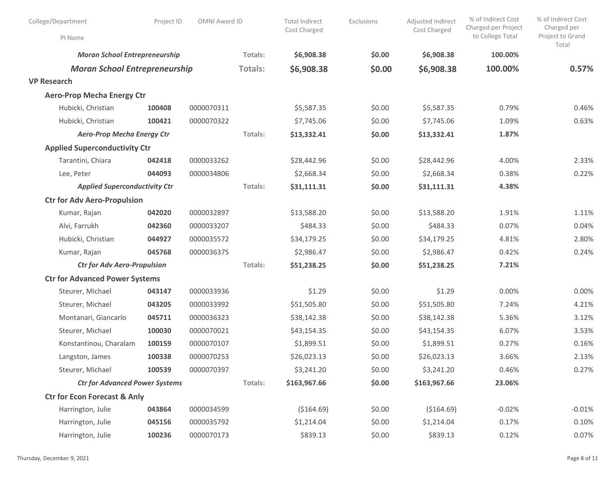| College/Department                      | Project ID | OMNI Award ID |                | <b>Total Indirect</b><br>Cost Charged | Exclusions | Adjusted Indirect<br>Cost Charged | % of Indirect Cost<br>Charged per Project | % of Indirect Cost<br>Charged per |
|-----------------------------------------|------------|---------------|----------------|---------------------------------------|------------|-----------------------------------|-------------------------------------------|-----------------------------------|
| PI Name                                 |            |               |                |                                       |            |                                   | to College Total                          | Project to Grand<br>Total         |
| <b>Moran School Entrepreneurship</b>    |            |               | Totals:        | \$6,908.38                            | \$0.00     | \$6,908.38                        | 100.00%                                   |                                   |
| <b>Moran School Entrepreneurship</b>    |            |               | <b>Totals:</b> | \$6,908.38                            | \$0.00     | \$6,908.38                        | 100.00%                                   | 0.57%                             |
| <b>VP Research</b>                      |            |               |                |                                       |            |                                   |                                           |                                   |
| <b>Aero-Prop Mecha Energy Ctr</b>       |            |               |                |                                       |            |                                   |                                           |                                   |
| Hubicki, Christian                      | 100408     | 0000070311    |                | \$5,587.35                            | \$0.00     | \$5,587.35                        | 0.79%                                     | 0.46%                             |
| Hubicki, Christian                      | 100421     | 0000070322    |                | \$7,745.06                            | \$0.00     | \$7,745.06                        | 1.09%                                     | 0.63%                             |
| <b>Aero-Prop Mecha Energy Ctr</b>       |            |               | Totals:        | \$13,332.41                           | \$0.00     | \$13,332.41                       | 1.87%                                     |                                   |
| <b>Applied Superconductivity Ctr</b>    |            |               |                |                                       |            |                                   |                                           |                                   |
| Tarantini, Chiara                       | 042418     | 0000033262    |                | \$28,442.96                           | \$0.00     | \$28,442.96                       | 4.00%                                     | 2.33%                             |
| Lee, Peter                              | 044093     | 0000034806    |                | \$2,668.34                            | \$0.00     | \$2,668.34                        | 0.38%                                     | 0.22%                             |
| <b>Applied Superconductivity Ctr</b>    |            |               | Totals:        | \$31,111.31                           | \$0.00     | \$31,111.31                       | 4.38%                                     |                                   |
| <b>Ctr for Adv Aero-Propulsion</b>      |            |               |                |                                       |            |                                   |                                           |                                   |
| Kumar, Rajan                            | 042020     | 0000032897    |                | \$13,588.20                           | \$0.00     | \$13,588.20                       | 1.91%                                     | 1.11%                             |
| Alvi, Farrukh                           | 042360     | 0000033207    |                | \$484.33                              | \$0.00     | \$484.33                          | 0.07%                                     | 0.04%                             |
| Hubicki, Christian                      | 044927     | 0000035572    |                | \$34,179.25                           | \$0.00     | \$34,179.25                       | 4.81%                                     | 2.80%                             |
| Kumar, Rajan                            | 045768     | 0000036375    |                | \$2,986.47                            | \$0.00     | \$2,986.47                        | 0.42%                                     | 0.24%                             |
| <b>Ctr for Adv Aero-Propulsion</b>      |            |               | Totals:        | \$51,238.25                           | \$0.00     | \$51,238.25                       | 7.21%                                     |                                   |
| <b>Ctr for Advanced Power Systems</b>   |            |               |                |                                       |            |                                   |                                           |                                   |
| Steurer, Michael                        | 043147     | 0000033936    |                | \$1.29                                | \$0.00     | \$1.29                            | 0.00%                                     | 0.00%                             |
| Steurer, Michael                        | 043205     | 0000033992    |                | \$51,505.80                           | \$0.00     | \$51,505.80                       | 7.24%                                     | 4.21%                             |
| Montanari, Giancarlo                    | 045711     | 0000036323    |                | \$38,142.38                           | \$0.00     | \$38,142.38                       | 5.36%                                     | 3.12%                             |
| Steurer, Michael                        | 100030     | 0000070021    |                | \$43,154.35                           | \$0.00     | \$43,154.35                       | 6.07%                                     | 3.53%                             |
| Konstantinou, Charalam                  | 100159     | 0000070107    |                | \$1,899.51                            | \$0.00     | \$1,899.51                        | 0.27%                                     | 0.16%                             |
| Langston, James                         | 100338     | 0000070253    |                | \$26,023.13                           | \$0.00     | \$26,023.13                       | 3.66%                                     | 2.13%                             |
| Steurer, Michael                        | 100539     | 0000070397    |                | \$3,241.20                            | \$0.00     | \$3,241.20                        | 0.46%                                     | 0.27%                             |
| <b>Ctr for Advanced Power Systems</b>   |            |               | Totals:        | \$163,967.66                          | \$0.00     | \$163,967.66                      | 23.06%                                    |                                   |
| <b>Ctr for Econ Forecast &amp; Anly</b> |            |               |                |                                       |            |                                   |                                           |                                   |
| Harrington, Julie                       | 043864     | 0000034599    |                | ( \$164.69)                           | \$0.00     | ( \$164.69)                       | $-0.02%$                                  | $-0.01%$                          |
| Harrington, Julie                       | 045156     | 0000035792    |                | \$1,214.04                            | \$0.00     | \$1,214.04                        | 0.17%                                     | 0.10%                             |
| Harrington, Julie                       | 100236     | 0000070173    |                | \$839.13                              | \$0.00     | \$839.13                          | 0.12%                                     | 0.07%                             |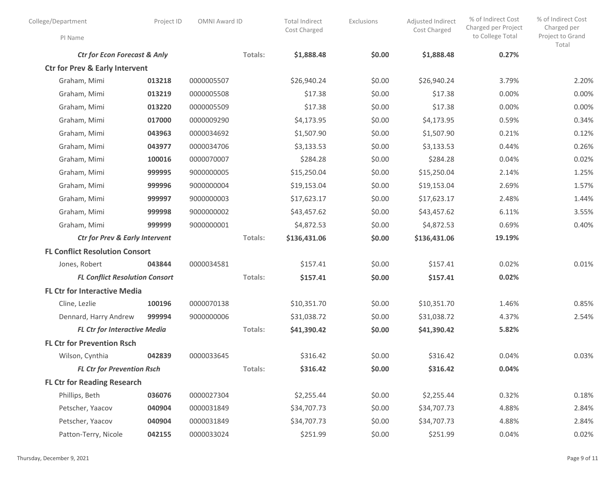| College/Department                        | Project ID | OMNI Award ID |         | <b>Total Indirect</b><br>Cost Charged | Exclusions | Adjusted Indirect<br>Cost Charged | % of Indirect Cost<br>Charged per Project | % of Indirect Cost<br>Charged per |
|-------------------------------------------|------------|---------------|---------|---------------------------------------|------------|-----------------------------------|-------------------------------------------|-----------------------------------|
| PI Name                                   |            |               |         |                                       |            |                                   | to College Total                          | Project to Grand<br>Total         |
| <b>Ctr for Econ Forecast &amp; Anly</b>   |            |               | Totals: | \$1,888.48                            | \$0.00     | \$1,888.48                        | 0.27%                                     |                                   |
| <b>Ctr for Prev &amp; Early Intervent</b> |            |               |         |                                       |            |                                   |                                           |                                   |
| Graham, Mimi                              | 013218     | 0000005507    |         | \$26,940.24                           | \$0.00     | \$26,940.24                       | 3.79%                                     | 2.20%                             |
| Graham, Mimi                              | 013219     | 0000005508    |         | \$17.38                               | \$0.00     | \$17.38                           | 0.00%                                     | 0.00%                             |
| Graham, Mimi                              | 013220     | 0000005509    |         | \$17.38                               | \$0.00     | \$17.38                           | 0.00%                                     | 0.00%                             |
| Graham, Mimi                              | 017000     | 0000009290    |         | \$4,173.95                            | \$0.00     | \$4,173.95                        | 0.59%                                     | 0.34%                             |
| Graham, Mimi                              | 043963     | 0000034692    |         | \$1,507.90                            | \$0.00     | \$1,507.90                        | 0.21%                                     | 0.12%                             |
| Graham, Mimi                              | 043977     | 0000034706    |         | \$3,133.53                            | \$0.00     | \$3,133.53                        | 0.44%                                     | 0.26%                             |
| Graham, Mimi                              | 100016     | 0000070007    |         | \$284.28                              | \$0.00     | \$284.28                          | 0.04%                                     | 0.02%                             |
| Graham, Mimi                              | 999995     | 9000000005    |         | \$15,250.04                           | \$0.00     | \$15,250.04                       | 2.14%                                     | 1.25%                             |
| Graham, Mimi                              | 999996     | 9000000004    |         | \$19,153.04                           | \$0.00     | \$19,153.04                       | 2.69%                                     | 1.57%                             |
| Graham, Mimi                              | 999997     | 9000000003    |         | \$17,623.17                           | \$0.00     | \$17,623.17                       | 2.48%                                     | 1.44%                             |
| Graham, Mimi                              | 999998     | 9000000002    |         | \$43,457.62                           | \$0.00     | \$43,457.62                       | 6.11%                                     | 3.55%                             |
| Graham, Mimi                              | 999999     | 9000000001    |         | \$4,872.53                            | \$0.00     | \$4,872.53                        | 0.69%                                     | 0.40%                             |
| <b>Ctr for Prev &amp; Early Intervent</b> |            |               | Totals: | \$136,431.06                          | \$0.00     | \$136,431.06                      | 19.19%                                    |                                   |
| <b>FL Conflict Resolution Consort</b>     |            |               |         |                                       |            |                                   |                                           |                                   |
| Jones, Robert                             | 043844     | 0000034581    |         | \$157.41                              | \$0.00     | \$157.41                          | 0.02%                                     | 0.01%                             |
| <b>FL Conflict Resolution Consort</b>     |            |               | Totals: | \$157.41                              | \$0.00     | \$157.41                          | 0.02%                                     |                                   |
| <b>FL Ctr for Interactive Media</b>       |            |               |         |                                       |            |                                   |                                           |                                   |
| Cline, Lezlie                             | 100196     | 0000070138    |         | \$10,351.70                           | \$0.00     | \$10,351.70                       | 1.46%                                     | 0.85%                             |
| Dennard, Harry Andrew                     | 999994     | 9000000006    |         | \$31,038.72                           | \$0.00     | \$31,038.72                       | 4.37%                                     | 2.54%                             |
| <b>FL Ctr for Interactive Media</b>       |            |               | Totals: | \$41,390.42                           | \$0.00     | \$41,390.42                       | 5.82%                                     |                                   |
| <b>FL Ctr for Prevention Rsch</b>         |            |               |         |                                       |            |                                   |                                           |                                   |
| Wilson, Cynthia                           | 042839     | 0000033645    |         | \$316.42                              | \$0.00     | \$316.42                          | 0.04%                                     | 0.03%                             |
| <b>FL Ctr for Prevention Rsch</b>         |            |               | Totals: | \$316.42                              | \$0.00     | \$316.42                          | 0.04%                                     |                                   |
| <b>FL Ctr for Reading Research</b>        |            |               |         |                                       |            |                                   |                                           |                                   |
| Phillips, Beth                            | 036076     | 0000027304    |         | \$2,255.44                            | \$0.00     | \$2,255.44                        | 0.32%                                     | 0.18%                             |
| Petscher, Yaacov                          | 040904     | 0000031849    |         | \$34,707.73                           | \$0.00     | \$34,707.73                       | 4.88%                                     | 2.84%                             |
| Petscher, Yaacov                          | 040904     | 0000031849    |         | \$34,707.73                           | \$0.00     | \$34,707.73                       | 4.88%                                     | 2.84%                             |
| Patton-Terry, Nicole                      | 042155     | 0000033024    |         | \$251.99                              | \$0.00     | \$251.99                          | 0.04%                                     | 0.02%                             |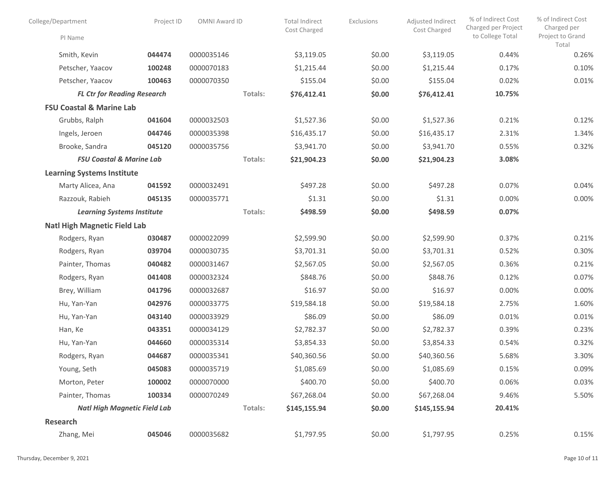| College/Department                  | Project ID | OMNI Award ID |         | <b>Total Indirect</b><br>Cost Charged | Exclusions | Adjusted Indirect<br>Cost Charged | % of Indirect Cost<br>Charged per Project | % of Indirect Cost<br>Charged per |
|-------------------------------------|------------|---------------|---------|---------------------------------------|------------|-----------------------------------|-------------------------------------------|-----------------------------------|
| PI Name                             |            |               |         |                                       |            |                                   | to College Total                          | Project to Grand<br>Total         |
| Smith, Kevin                        | 044474     | 0000035146    |         | \$3,119.05                            | \$0.00     | \$3,119.05                        | 0.44%                                     | 0.26%                             |
| Petscher, Yaacov                    | 100248     | 0000070183    |         | \$1,215.44                            | \$0.00     | \$1,215.44                        | 0.17%                                     | 0.10%                             |
| Petscher, Yaacov                    | 100463     | 0000070350    |         | \$155.04                              | \$0.00     | \$155.04                          | 0.02%                                     | 0.01%                             |
| <b>FL Ctr for Reading Research</b>  |            |               | Totals: | \$76,412.41                           | \$0.00     | \$76,412.41                       | 10.75%                                    |                                   |
| <b>FSU Coastal &amp; Marine Lab</b> |            |               |         |                                       |            |                                   |                                           |                                   |
| Grubbs, Ralph                       | 041604     | 0000032503    |         | \$1,527.36                            | \$0.00     | \$1,527.36                        | 0.21%                                     | 0.12%                             |
| Ingels, Jeroen                      | 044746     | 0000035398    |         | \$16,435.17                           | \$0.00     | \$16,435.17                       | 2.31%                                     | 1.34%                             |
| Brooke, Sandra                      | 045120     | 0000035756    |         | \$3,941.70                            | \$0.00     | \$3,941.70                        | 0.55%                                     | 0.32%                             |
| <b>FSU Coastal &amp; Marine Lab</b> |            |               | Totals: | \$21,904.23                           | \$0.00     | \$21,904.23                       | 3.08%                                     |                                   |
| <b>Learning Systems Institute</b>   |            |               |         |                                       |            |                                   |                                           |                                   |
| Marty Alicea, Ana                   | 041592     | 0000032491    |         | \$497.28                              | \$0.00     | \$497.28                          | 0.07%                                     | 0.04%                             |
| Razzouk, Rabieh                     | 045135     | 0000035771    |         | \$1.31                                | \$0.00     | \$1.31                            | 0.00%                                     | 0.00%                             |
| <b>Learning Systems Institute</b>   |            |               | Totals: | \$498.59                              | \$0.00     | \$498.59                          | 0.07%                                     |                                   |
| <b>Natl High Magnetic Field Lab</b> |            |               |         |                                       |            |                                   |                                           |                                   |
| Rodgers, Ryan                       | 030487     | 0000022099    |         | \$2,599.90                            | \$0.00     | \$2,599.90                        | 0.37%                                     | 0.21%                             |
| Rodgers, Ryan                       | 039704     | 0000030735    |         | \$3,701.31                            | \$0.00     | \$3,701.31                        | 0.52%                                     | 0.30%                             |
| Painter, Thomas                     | 040482     | 0000031467    |         | \$2,567.05                            | \$0.00     | \$2,567.05                        | 0.36%                                     | 0.21%                             |
| Rodgers, Ryan                       | 041408     | 0000032324    |         | \$848.76                              | \$0.00     | \$848.76                          | 0.12%                                     | 0.07%                             |
| Brey, William                       | 041796     | 0000032687    |         | \$16.97                               | \$0.00     | \$16.97                           | 0.00%                                     | 0.00%                             |
| Hu, Yan-Yan                         | 042976     | 0000033775    |         | \$19,584.18                           | \$0.00     | \$19,584.18                       | 2.75%                                     | 1.60%                             |
| Hu, Yan-Yan                         | 043140     | 0000033929    |         | \$86.09                               | \$0.00     | \$86.09                           | 0.01%                                     | 0.01%                             |
| Han, Ke                             | 043351     | 0000034129    |         | \$2,782.37                            | \$0.00     | \$2,782.37                        | 0.39%                                     | 0.23%                             |
| Hu, Yan-Yan                         | 044660     | 0000035314    |         | \$3,854.33                            | \$0.00     | \$3,854.33                        | 0.54%                                     | 0.32%                             |
| Rodgers, Ryan                       | 044687     | 0000035341    |         | \$40,360.56                           | \$0.00     | \$40,360.56                       | 5.68%                                     | 3.30%                             |
| Young, Seth                         | 045083     | 0000035719    |         | \$1,085.69                            | \$0.00     | \$1,085.69                        | 0.15%                                     | 0.09%                             |
| Morton, Peter                       | 100002     | 0000070000    |         | \$400.70                              | \$0.00     | \$400.70                          | 0.06%                                     | 0.03%                             |
| Painter, Thomas                     | 100334     | 0000070249    |         | \$67,268.04                           | \$0.00     | \$67,268.04                       | 9.46%                                     | 5.50%                             |
| <b>Natl High Magnetic Field Lab</b> |            |               | Totals: | \$145,155.94                          | \$0.00     | \$145,155.94                      | 20.41%                                    |                                   |
| <b>Research</b>                     |            |               |         |                                       |            |                                   |                                           |                                   |
| Zhang, Mei                          | 045046     | 0000035682    |         | \$1,797.95                            | \$0.00     | \$1,797.95                        | 0.25%                                     | 0.15%                             |